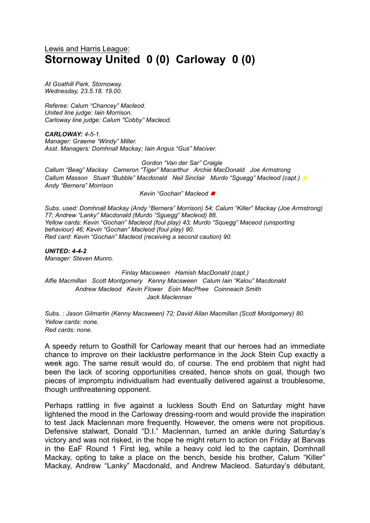## Lewis and Harris League: **Stornoway United 0 (0) Carloway 0 (0)**

*At Goathill Park, Stornoway. Wednesday, 23.5.18. 19.00.*

*Referee: Calum "Chancey" Macleod. United line judge: Iain Morrison. Carloway line judge: Calum "Cobby" Macleod.*

*CARLOWAY: 4-5-1. Manager: Graeme "Windy" Miller. Asst. Managers: Domhnall Mackay; Iain Angus "Gus" Maciver.*

*Gordon "Van der Sar" Craigie*

*Callum "Beag" Mackay Cameron "Tiger" Macarthur Archie MacDonald Joe Armstrong Callum Masson Stuart "Bubble" Macdonald Neil Sinclair Murdo "Sguegg" Macleod (capt.) <sup>◼</sup> Andy "Bernera" Morrison*

*Kevin "Gochan" Macleod <sup>◼</sup>*

*Subs. used: Domhnall Mackay (Andy "Bernera" Morrison) 54; Calum "Killer" Mackay (Joe Armstrong) 77; Andrew "Lanky" Macdonald (Murdo "Sguegg" Macleod) 88. Yellow cards: Kevin "Gochan" Macleod (foul play) 43; Murdo "Squegg" Maceod (unsporting behaviour) 46; Kevin "Gochan" Macleod (foul play) 90. Red card: Kevin "Gochan" Macleod (receiving a second caution) 90.*

*UNITED: 4-4-2 Manager: Steven Munro.*

*Finlay Macsween Hamish MacDonald (capt.) Alfie Macmillan Scott Montgomery Kenny Macsween Calum Iain "Kalou" Macdonald Andrew Macleod Kevin Flower Eoin MacPhee Coinneach Smith Jack Maclennan*

*Subs. : Jason Gilmartin (Kenny Macsween) 72; David Allan Macmillan (Scott Montgomery) 80. Yellow cards: none. Red cards: none.*

A speedy return to Goathill for Carloway meant that our heroes had an immediate chance to improve on their lacklustre performance in the Jock Stein Cup exactly a week ago. The same result would do, of course. The end problem that night had been the lack of scoring opportunities created, hence shots on goal, though two pieces of impromptu individualism had eventually delivered against a troublesome, though unthreatening opponent.

Perhaps rattling in five against a luckless South End on Saturday might have lightened the mood in the Carloway dressing-room and would provide the inspiration to test Jack Maclennan more frequently. However, the omens were not propitious. Defensive stalwart, Donald "D.I." Maclennan, turned an ankle during Saturday's victory and was not risked, in the hope he might return to action on Friday at Barvas in the EaF Round 1 First leg, while a heavy cold led to the captain, Domhnall Mackay, opting to take a place on the bench, beside his brother, Calum "Killer" Mackay, Andrew "Lanky" Macdonald, and Andrew Macleod. Saturday's débutant,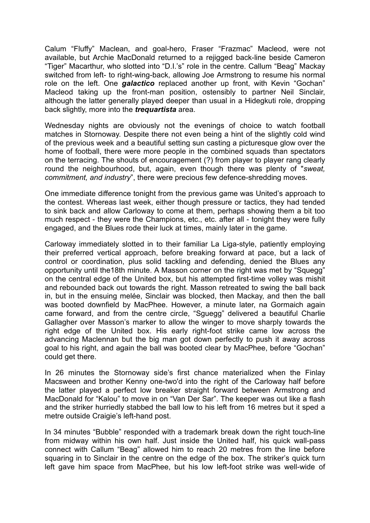Calum "Fluffy" Maclean, and goal-hero, Fraser "Frazmac" Macleod, were not available, but Archie MacDonald returned to a rejigged back-line beside Cameron "Tiger" Macarthur, who slotted into "D.I.'s" role in the centre. Callum "Beag" Mackay switched from left- to right-wing-back, allowing Joe Armstrong to resume his normal role on the left. One *galactico* replaced another up front, with Kevin "Gochan" Macleod taking up the front-man position, ostensibly to partner Neil Sinclair, although the latter generally played deeper than usual in a Hidegkuti role, dropping back slightly, more into the *trequartista* area.

Wednesday nights are obviously not the evenings of choice to watch football matches in Stornoway. Despite there not even being a hint of the slightly cold wind of the previous week and a beautiful setting sun casting a picturesque glow over the home of football, there were more people in the combined squads than spectators on the terracing. The shouts of encouragement (?) from player to player rang clearly round the neighbourhood, but, again, even though there was plenty of "*sweat, commitment, and industry*", there were precious few defence-shredding moves.

One immediate difference tonight from the previous game was United's approach to the contest. Whereas last week, either though pressure or tactics, they had tended to sink back and allow Carloway to come at them, perhaps showing them a bit too much respect - they were the Champions, etc., etc. after all - tonight they were fully engaged, and the Blues rode their luck at times, mainly later in the game.

Carloway immediately slotted in to their familiar La Liga-style, patiently employing their preferred vertical approach, before breaking forward at pace, but a lack of control or coordination, plus solid tackling and defending, denied the Blues any opportunity until the18th minute. A Masson corner on the right was met by "Squegg" on the central edge of the United box, but his attempted first-time volley was mishit and rebounded back out towards the right. Masson retreated to swing the ball back in, but in the ensuing melée, Sinclair was blocked, then Mackay, and then the ball was booted downfield by MacPhee. However, a minute later, na Gormaich again came forward, and from the centre circle, "Sguegg" delivered a beautiful Charlie Gallagher over Masson's marker to allow the winger to move sharply towards the right edge of the United box. His early right-foot strike came low across the advancing Maclennan but the big man got down perfectly to push it away across goal to his right, and again the ball was booted clear by MacPhee, before "Gochan" could get there.

In 26 minutes the Stornoway side's first chance materialized when the Finlay Macsween and brother Kenny one-two'd into the right of the Carloway half before the latter played a perfect low breaker straight forward between Armstrong and MacDonald for "Kalou" to move in on "Van Der Sar". The keeper was out like a flash and the striker hurriedly stabbed the ball low to his left from 16 metres but it sped a metre outside Craigie's left-hand post.

In 34 minutes "Bubble" responded with a trademark break down the right touch-line from midway within his own half. Just inside the United half, his quick wall-pass connect with Callum "Beag" allowed him to reach 20 metres from the line before squaring in to Sinclair in the centre on the edge of the box. The striker's quick turn left gave him space from MacPhee, but his low left-foot strike was well-wide of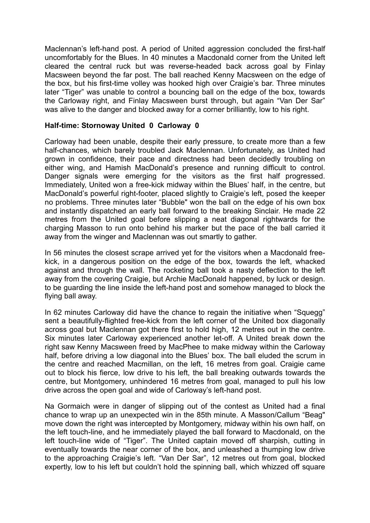Maclennan's left-hand post. A period of United aggression concluded the first-half uncomfortably for the Blues. In 40 minutes a Macdonald corner from the United left cleared the central ruck but was reverse-headed back across goal by Finlay Macsween beyond the far post. The ball reached Kenny Macsween on the edge of the box, but his first-time volley was hooked high over Craigie's bar. Three minutes later "Tiger" was unable to control a bouncing ball on the edge of the box, towards the Carloway right, and Finlay Macsween burst through, but again "Van Der Sar" was alive to the danger and blocked away for a corner brilliantly, low to his right.

## **Half-time: Stornoway United 0 Carloway 0**

Carloway had been unable, despite their early pressure, to create more than a few half-chances, which barely troubled Jack Maclennan. Unfortunately, as United had grown in confidence, their pace and directness had been decidedly troubling on either wing, and Hamish MacDonald's presence and running difficult to control. Danger signals were emerging for the visitors as the first half progressed. Immediately, United won a free-kick midway within the Blues' half, in the centre, but MacDonald's powerful right-footer, placed slightly to Craigie's left, posed the keeper no problems. Three minutes later "Bubble" won the ball on the edge of his own box and instantly dispatched an early ball forward to the breaking Sinclair. He made 22 metres from the United goal before slipping a neat diagonal rightwards for the charging Masson to run onto behind his marker but the pace of the ball carried it away from the winger and Maclennan was out smartly to gather.

In 56 minutes the closest scrape arrived yet for the visitors when a Macdonald freekick, in a dangerous position on the edge of the box, towards the left, whacked against and through the wall. The rocketing ball took a nasty deflection to the left away from the covering Craigie, but Archie MacDonald happened, by luck or design. to be guarding the line inside the left-hand post and somehow managed to block the flying ball away.

In 62 minutes Carloway did have the chance to regain the initiative when "Squegg" sent a beautifully-flighted free-kick from the left corner of the United box diagonally across goal but Maclennan got there first to hold high, 12 metres out in the centre. Six minutes later Carloway experienced another let-off. A United break down the right saw Kenny Macsween freed by MacPhee to make midway within the Carloway half, before driving a low diagonal into the Blues' box. The ball eluded the scrum in the centre and reached Macmillan, on the left, 16 metres from goal. Craigie came out to block his fierce, low drive to his left, the ball breaking outwards towards the centre, but Montgomery, unhindered 16 metres from goal, managed to pull his low drive across the open goal and wide of Carloway's left-hand post.

Na Gormaich were in danger of slipping out of the contest as United had a final chance to wrap up an unexpected win in the 85th minute. A Masson/Callum "Beag" move down the right was intercepted by Montgomery, midway within his own half, on the left touch-line, and he immediately played the ball forward to Macdonald, on the left touch-line wide of "Tiger". The United captain moved off sharpish, cutting in eventually towards the near corner of the box, and unleashed a thumping low drive to the approaching Craigie's left. "Van Der Sar", 12 metres out from goal, blocked expertly, low to his left but couldn't hold the spinning ball, which whizzed off square